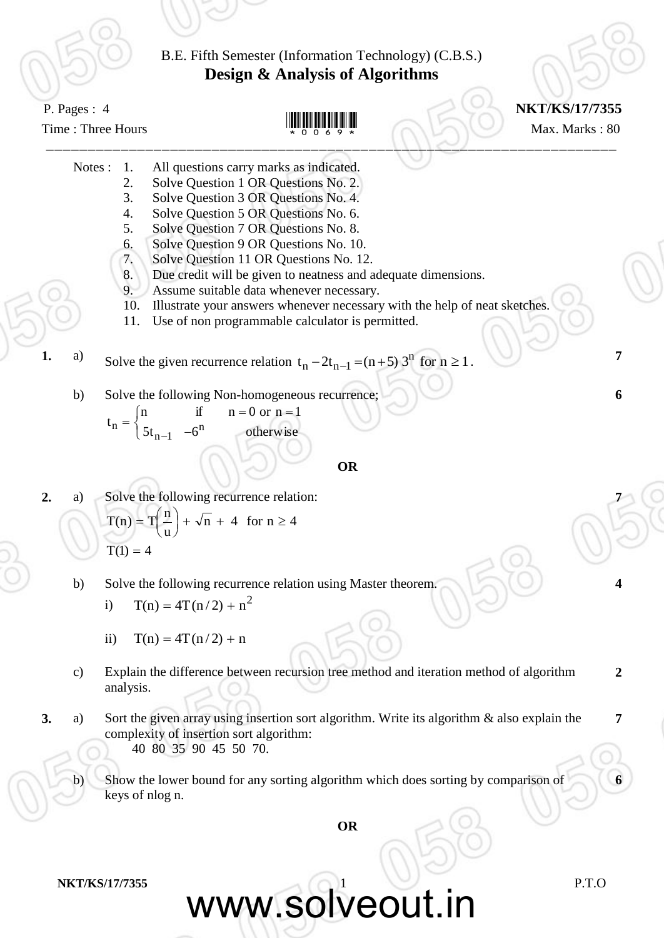

www.solveout.in

**NKT/KS/17/7355** P.T.O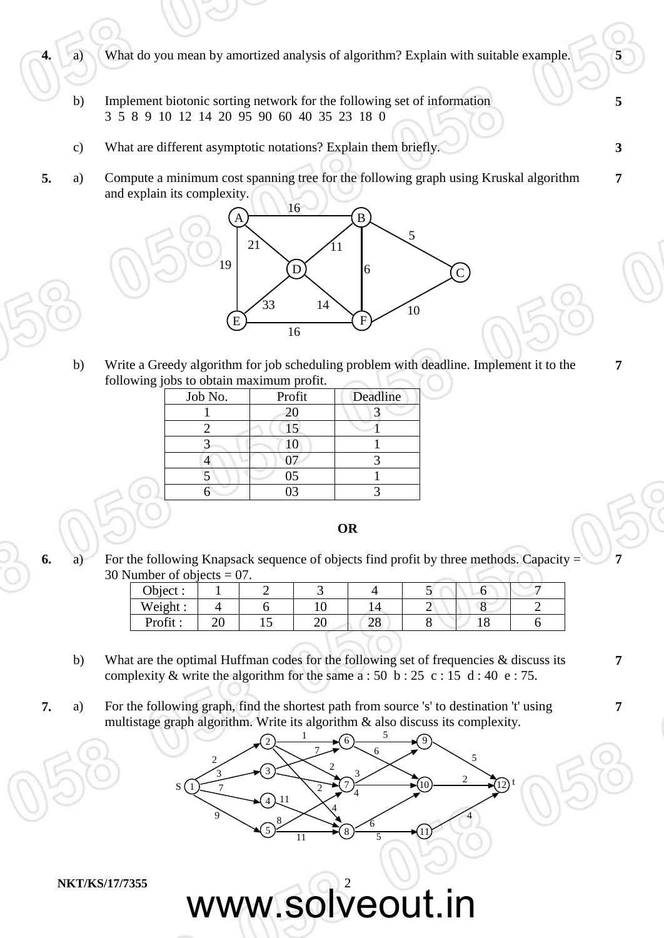**4.** a) What do you mean by amortized analysis of algorithm? Explain with suitable example. **5**

- b) Implement biotonic sorting network for the following set of information 3 5 8 9 10 12 14 20 95 90 60 40 35 23 18 0
- c) What are different asymptotic notations? Explain them briefly. **3**
- **5.** a) Compute a minimum cost spanning tree for the following graph using Kruskal algorithm and explain its complexity.



b) Write a Greedy algorithm for job scheduling problem with deadline. Implement it to the following jobs to obtain maximum profit.

| Job No. | Profit | Deadline |  |  |
|---------|--------|----------|--|--|
|         | 20     |          |  |  |
|         | 15     |          |  |  |
|         | 10     |          |  |  |
|         |        |          |  |  |
|         | 05     |          |  |  |
|         |        |          |  |  |

## **OR**

**6.** a) For the following Knapsack sequence of objects find profit by three methods. Capacity = 30 Number of objects  $= 07$ .

| Object: |    |    |   |          | . . |  |
|---------|----|----|---|----------|-----|--|
| Weight: |    |    |   |          |     |  |
| Profit: | ∠∪ | ⊥ັ | ້ | ററ<br>∠∪ |     |  |

- b) What are the optimal Huffman codes for the following set of frequencies  $\&$  discuss its complexity & write the algorithm for the same  $a : 50 b : 25 c : 15 d : 40 e : 75$ .
- **7.** a) For the following graph, find the shortest path from source 's' to destination 't' using multistage graph algorithm. Write its algorithm & also discuss its complexity.

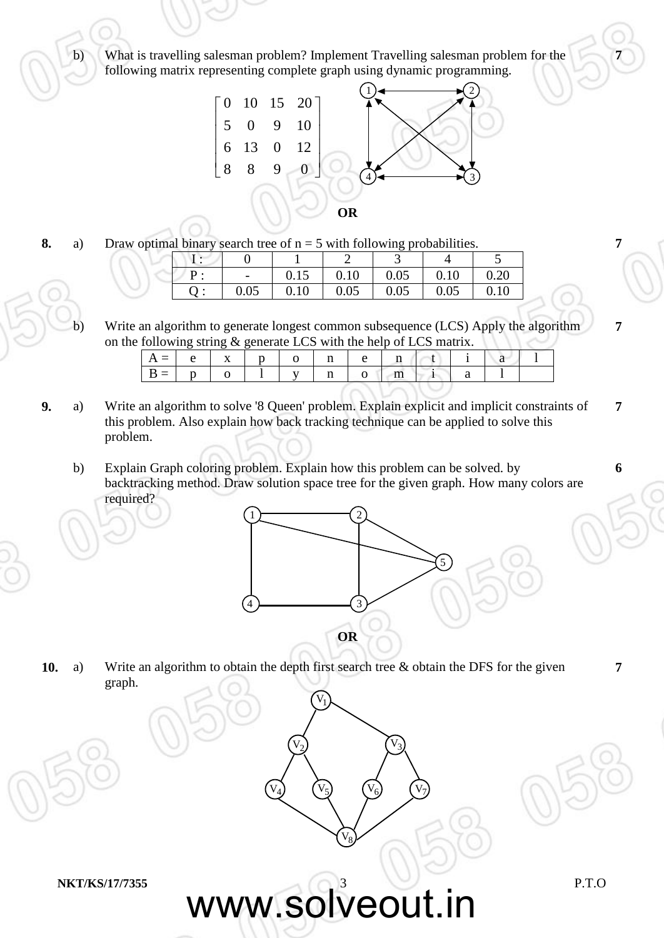b) What is travelling salesman problem? Implement Travelling salesman problem for the following matrix representing complete graph using dynamic programming.



**8.** a) Draw optimal binary search tree of  $n = 5$  with following probabilities.

|  |                          |      |      | ັບເ  |      |      |  |
|--|--------------------------|------|------|------|------|------|--|
|  |                          |      |      | ັ    |      |      |  |
|  | $\overline{\phantom{a}}$ | 0.15 | 0.10 | 0.05 | 0.10 | 0.20 |  |
|  | 0.05                     | 0.10 | 0.05 | 0.05 | 0.05 | 0.10 |  |

b) Write an algorithm to generate longest common subsequence (LCS) Apply the algorithm on the following string & generate LCS with the help of LCS matrix.

|  |                | $\begin{array}{c c c c c} \hline \end{array}$ x 1 p 1 0 |  | $n$   e                                             |  |  |  |
|--|----------------|---------------------------------------------------------|--|-----------------------------------------------------|--|--|--|
|  | $\overline{0}$ | $\mathbf{1}$                                            |  | $\mathsf{v}$ $\mathsf{n}$ $\mathsf{o}$ $\mathsf{m}$ |  |  |  |

- **9.** a) Write an algorithm to solve '8 Queen' problem. Explain explicit and implicit constraints of this problem. Also explain how back tracking technique can be applied to solve this problem. **7**
	- b) Explain Graph coloring problem. Explain how this problem can be solved. by backtracking method. Draw solution space tree for the given graph. How many colors are required?



 $V_3$ 

 $(V_6)$   $(V_7)$ 

**10.** a) Write an algorithm to obtain the depth first search tree & obtain the DFS for the given graph.

 $V_2$ 

 $(V_4)$   $(V_5)$ 

 $V_1$ 

 $V_8$ 

www.solveout.in

**NKT/KS/17/7355** P.T.O

**7**

**7**

**7**

**6**

**7**